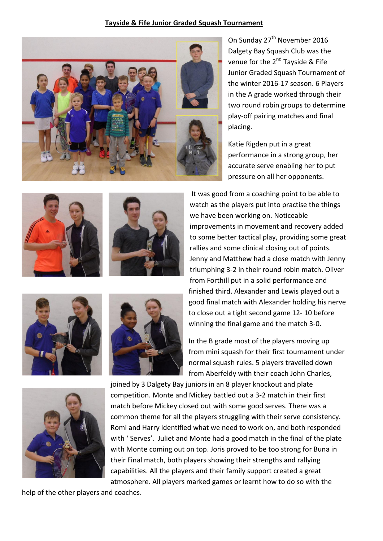## **Tayside & Fife Junior Graded Squash Tournament**



On Sunday 27<sup>th</sup> November 2016 Dalgety Bay Squash Club was the venue for the 2<sup>nd</sup> Tayside & Fife Junior Graded Squash Tournament of the winter 2016-17 season. 6 Players in the A grade worked through their two round robin groups to determine play-off pairing matches and final placing.

Katie Rigden put in a great performance in a strong group, her accurate serve enabling her to put pressure on all her opponents.

It was good from a coaching point to be able to watch as the players put into practise the things

improvements in movement and recovery added





to some better tactical play, providing some great rallies and some clinical closing out of points. Jenny and Matthew had a close match with Jenny triumphing 3-2 in their round robin match. Oliver from Forthill put in a solid performance and finished third. Alexander and Lewis played out a good final match with Alexander holding his nerve to close out a tight second game 12- 10 before winning the final game and the match 3-0.

we have been working on. Noticeable





In the B grade most of the players moving up from mini squash for their first tournament under normal squash rules. 5 players travelled down from Aberfeldy with their coach John Charles,



joined by 3 Dalgety Bay juniors in an 8 player knockout and plate competition. Monte and Mickey battled out a 3-2 match in their first match before Mickey closed out with some good serves. There was a common theme for all the players struggling with their serve consistency. Romi and Harry identified what we need to work on, and both responded with ' Serves'. Juliet and Monte had a good match in the final of the plate with Monte coming out on top. Joris proved to be too strong for Buna in their Final match, both players showing their strengths and rallying capabilities. All the players and their family support created a great atmosphere. All players marked games or learnt how to do so with the

help of the other players and coaches.